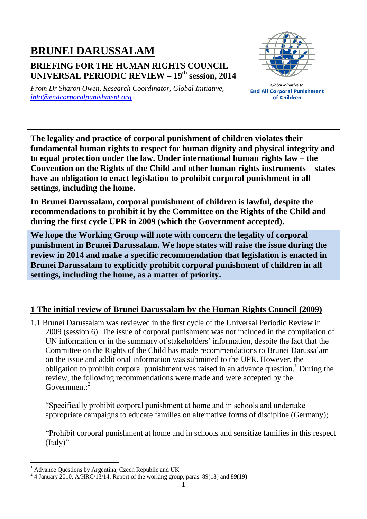## **BRUNEI DARUSSALAM BRIEFING FOR THE HUMAN RIGHTS COUNCIL UNIVERSAL PERIODIC REVIEW – 19 th session, 2014**



*From Dr Sharon Owen, Research Coordinator, Global Initiative, [info@endcorporalpunishment.org](mailto:info@endcorporalpunishment.org)*

**Global Initiative to End All Corporal Punishment** of Children

**The legality and practice of corporal punishment of children violates their fundamental human rights to respect for human dignity and physical integrity and to equal protection under the law. Under international human rights law – the Convention on the Rights of the Child and other human rights instruments – states have an obligation to enact legislation to prohibit corporal punishment in all settings, including the home.**

**In Brunei Darussalam, corporal punishment of children is lawful, despite the recommendations to prohibit it by the Committee on the Rights of the Child and during the first cycle UPR in 2009 (which the Government accepted).**

**We hope the Working Group will note with concern the legality of corporal punishment in Brunei Darussalam. We hope states will raise the issue during the review in 2014 and make a specific recommendation that legislation is enacted in Brunei Darussalam to explicitly prohibit corporal punishment of children in all settings, including the home, as a matter of priority.**

## **1 The initial review of Brunei Darussalam by the Human Rights Council (2009)**

1.1 Brunei Darussalam was reviewed in the first cycle of the Universal Periodic Review in 2009 (session 6). The issue of corporal punishment was not included in the compilation of UN information or in the summary of stakeholders' information, despite the fact that the Committee on the Rights of the Child has made recommendations to Brunei Darussalam on the issue and additional information was submitted to the UPR. However, the obligation to prohibit corporal punishment was raised in an advance question. <sup>1</sup> During the review, the following recommendations were made and were accepted by the Government:<sup>2</sup>

"Specifically prohibit corporal punishment at home and in schools and undertake appropriate campaigns to educate families on alternative forms of discipline (Germany);

"Prohibit corporal punishment at home and in schools and sensitize families in this respect (Italy)"

 $\overline{a}$ 

<sup>1</sup> Advance Questions by Argentina, Czech Republic and UK

 $^{2}$  4 January 2010, A/HRC/13/14, Report of the working group, paras. 89(18) and 89(19)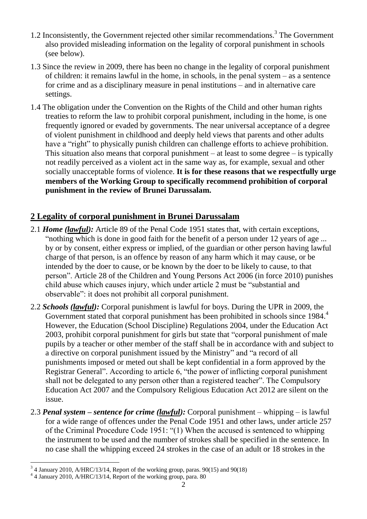- 1.2 Inconsistently, the Government rejected other similar recommendations. 3 The Government also provided misleading information on the legality of corporal punishment in schools (see below).
- 1.3 Since the review in 2009, there has been no change in the legality of corporal punishment of children: it remains lawful in the home, in schools, in the penal system – as a sentence for crime and as a disciplinary measure in penal institutions – and in alternative care settings.
- 1.4 The obligation under the Convention on the Rights of the Child and other human rights treaties to reform the law to prohibit corporal punishment, including in the home, is one frequently ignored or evaded by governments. The near universal acceptance of a degree of violent punishment in childhood and deeply held views that parents and other adults have a "right" to physically punish children can challenge efforts to achieve prohibition. This situation also means that corporal punishment – at least to some degree – is typically not readily perceived as a violent act in the same way as, for example, sexual and other socially unacceptable forms of violence. **It is for these reasons that we respectfully urge members of the Working Group to specifically recommend prohibition of corporal punishment in the review of Brunei Darussalam.**

## **2 Legality of corporal punishment in Brunei Darussalam**

- 2.1 *Home (lawful):* Article 89 of the Penal Code 1951 states that, with certain exceptions, "nothing which is done in good faith for the benefit of a person under 12 years of age ... by or by consent, either express or implied, of the guardian or other person having lawful charge of that person, is an offence by reason of any harm which it may cause, or be intended by the doer to cause, or be known by the doer to be likely to cause, to that person". Article 28 of the Children and Young Persons Act 2006 (in force 2010) punishes child abuse which causes injury, which under article 2 must be "substantial and observable": it does not prohibit all corporal punishment.
- 2.2 *Schools (lawful):* Corporal punishment is lawful for boys. During the UPR in 2009, the Government stated that corporal punishment has been prohibited in schools since 1984. However, the Education (School Discipline) Regulations 2004, under the Education Act 2003, prohibit corporal punishment for girls but state that "corporal punishment of male pupils by a teacher or other member of the staff shall be in accordance with and subject to a directive on corporal punishment issued by the Ministry" and "a record of all punishments imposed or meted out shall be kept confidential in a form approved by the Registrar General". According to article 6, "the power of inflicting corporal punishment shall not be delegated to any person other than a registered teacher". The Compulsory Education Act 2007 and the Compulsory Religious Education Act 2012 are silent on the issue.
- 2.3 *Penal system – sentence for crime (lawful):* Corporal punishment whipping is lawful for a wide range of offences under the Penal Code 1951 and other laws, under article 257 of the Criminal Procedure Code 1951: "(1) When the accused is sentenced to whipping the instrument to be used and the number of strokes shall be specified in the sentence. In no case shall the whipping exceed 24 strokes in the case of an adult or 18 strokes in the

 $\overline{a}$  $3/3$  4 January 2010, A/HRC/13/14, Report of the working group, paras. 90(15) and 90(18)

<sup>4</sup> 4 January 2010, A/HRC/13/14, Report of the working group, para. 80